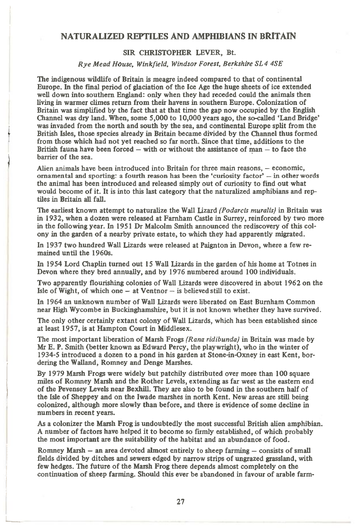## **NATURALIZED REPTILES AND AMPHIBIANS IN BRITAIN**

## **SIR CHRISTOPHER LEVER, Bt.**

*Rye Mead House, Winkfield, Windsor Forest, Berkshire SL4 4SE* 

**The indigenous wildlife of Britain is meagre indeed compared to that of continental Europe. In the final period of glaciation of the Ice Age the huge sheets of ice extended well down into southern England: only when they had receded could the animals then living in warmer climes return from their havens in southern Europe. Colonization of Britain was simplified by the fact that at that time the gap now occupied by the English Channel was dry land. When, some 5,000 to 10,000 years ago, the so-called 'Land Bridge' was invaded from the north and south by the sea, and continental Europe split from the British Isles, those species already in Britain became divided by the Channel thus formed from those which had not yet reached so far north. Since that time, additions to the British fauna have been forced — with or without the assistance of man — to face the barrier of the sea.** 

**Alien animals have been introduced into Britain for three main reasons, — economic, ornamental and sporting: a fourth reason has been the 'curiosity factor' — in other words the animal has been introduced and released simply out of curiosity to find out what**  would become of it. It is into this last category that the naturalized amphibians and rep**tiles in Britain all fall.** 

)

The earliest known attempt to naturalize the Wall Lizard *(Podarcis muralis)* in Britain was **in 1932, when a dozen were released at Farnham Castle in Surrey, reinforced by two more in the following year. In 1951 Dr Malcolm Smith announced the rediscovery of this colony in the garden of a nearby private estate, to which they had apparently migrated.** 

**In 1937 two hundred Wall Lizards were released at Paignton in Devon, where a few remained until the 1960s.** 

**In 1954 Lord Chaplin turned out 15 Wall Lizards in the garden of his home at Totnes in Devon where they bred annually, and by 1976 numbered around 100 individuals.** 

**Two apparently flourishing colonies of Wall Lizards were discovered in about 1962 on the Isle of Wight, of which one — at Ventnor — is believed still to exist.** 

**In 1964 an unknown number of Wall Lizards were liberated on East Burnham Common near High Wycombe in Buckinghamshire, but it is not known whether they have survived.** 

**The only other certainly extant colony of Wall Lizards, which has been established since at least 1957, is at Hampton Court in Middlesex.** 

**The most important liberation of Marsh Frogs** *(Rana ridibunda)* **in Britain was made by Mr E. P. Smith (better known as Edward Percy, the playwright), who in the winter of 1934-5 introduced a dozen to a pond in his garden at Stone-in.Oxney in east Kent, bordering the Walland, Romney and Denge Marshes.** 

**By 1979 Marsh Frogs were widely but patchily distributed over more than 100 square miles of Romney Marsh and the Rother Levels, extending as far west as the eastern end of the Pevensey Levels near Bexhill. They are also to be found in the southern half of the Isle of Sheppey and on the Iwade marshes in north Kent. New areas are still being colonized, although more slowly than before, and there is evidence of some decline in numbers in recent years.** 

**As a colonizer the Marsh Frog is undoubtedly the most successful British alien amphibian. A number of factors have helped it to become so firmly established, of which probably the most important are the suitability of the habitat and an abundance of food.** 

**Romney Marsh — an area devoted almost entirely to sheep farming — consists of small fields divided by ditches and sewers edged by narrow strips of ungrazed grassland, with few hedges. The future of the Marsh Frog there depends almost completely on the continuation of sheep farming. Should this ever be abandoned in favour of arable farm-**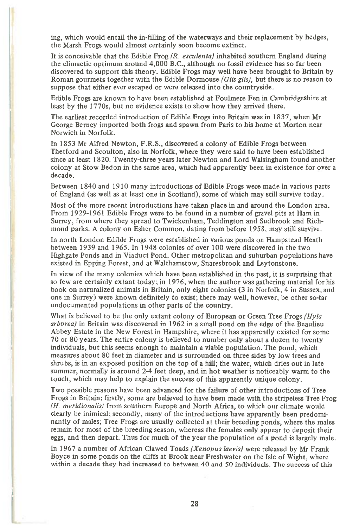ing, which would entail the in-filling of the waterways and their replacement by hedges, the Marsh Frogs would almost certainly soon become extinct.

It is conceivable that the Edible Frog *(R. esculenta)* inhabited southern England during the climactic optimum around 4,000 B.C., although no fossil evidence has so far been discovered to support this theory. Edible Frogs may well have been brought to Britain by Roman gourmets together with the Edible Dormouse *(Glis glis),* but there is no reason to suppose that either ever escaped or were released into the countryside.

Edible Frogs are known to have been established at Foulmere Fen in Cambridgeshire at least by the 1770s, but no evidence exists to show how they arrived there.

The earliest recorded introduction of Edible Frogs into Britain was in 1837, when Mr George Berney imported both frogs and spawn from Paris to his home at Morton near Norwich in Norfolk.

In 1853 Mr Alfred Newton, F.R.S., discovered a colony of Edible Frogs between Thetford and Scoulton, also in Norfolk, where they were said to have been established since at least 1820. Twenty-three years later Newton and Lord Walsingham found another colony at Stow Bedon in the same area, which had apparently been in existence for over a decade.

Between 1840 and 1910 many introductions of Edible Frogs were made in various parts of England (as well as at least one in Scotland), some of which may still survive today.

Most of the more recent introductions have taken place in and around the London area. From 1929-1961 Edible Frogs were to be found in a number of gravel pits at Ham in Surrey, from where they spread to Twickenham, Teddington and Sudbrook and Richmond parks. A colony on Esher Common, dating from before 1958, may still survive.

In north London Edible Frogs were established in various ponds on Hampstead Heath between 1939 and 1965. In 1948 colonies of over 100 were discovered in the two Highgate Ponds and in Viaduct Pond. Other metropolitan and suburban populations have existed in Epping Forest, and at Walthamstow, Snaresbrook and Leytonstone.

In view of the many colonies which have been established in the past, it is surprising that so few are certainly extant today; in 1976, when the author was gathering material for his book on naturalized animals in Britain, only eight colonies (3 in Norfolk, 4 in Sussex, and one in Surrey) were known definitely to exist; there may well, however, be other so-far undocumented populations in other parts of the country.

What is believed to be the only extant colony of European or Green Tree Frogs *(Hyla arboreal* in Britain was discovered in 1962 in a small pond on the edge of the Beaulieu Abbey Estate in the New Forest in Hampshire, where it has apparently existed for some 70 or 80 years. The entire colony is believed to number only about a dozen to twenty individuals, but this seems enough to maintain a viable population. The pond, which measures about 80 feet in diameter and is surrounded on three sides by low trees and shrubs, is in an exposed position on the top of a hill; the water, which dries out in late summer, normally is around 2-4 feet deep, and in hot weather is noticeably warm to the touch, which may help to explain the success of this apparently unique colony.

Two possible reasons have been advanced for the failure of other introductions of Tree Frogs in Britain; firstly, some are believed to have been made with the stripeless Tree Frog *(H. meridionalis)* from southern Europe and North Africa, to which our climate would clearly be inimical; secondly, many of the introductions have apparently been predominantly of males; Tree Frogs are usually collected at their breeding ponds, where the males remain for most of the breeding season, whereas the females only appear to deposit their eggs, and then depart. Thus for much of the year the population of a pond is largely male.

In 1967 a number of African Clawed Toads *(Xenopus laevis)* were released by Mr Frank Boyce in some ponds on the cliffs at Brook near Freshwater on the Isle of Wight, where within a decade they had increased to between 40 and 50 individuals. The success of this